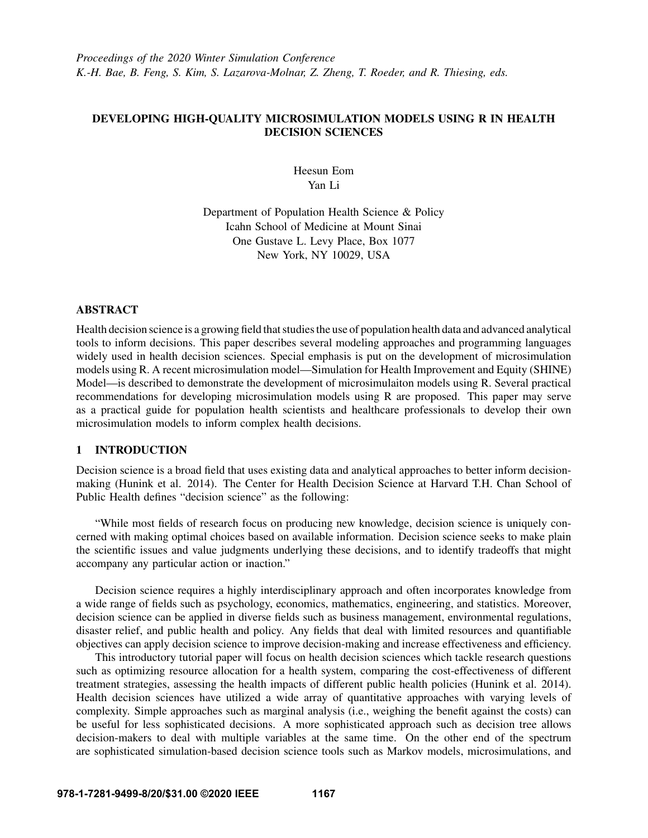# DEVELOPING HIGH-QUALITY MICROSIMULATION MODELS USING R IN HEALTH DECISION SCIENCES

Heesun Eom Yan Li

Department of Population Health Science & Policy Icahn School of Medicine at Mount Sinai One Gustave L. Levy Place, Box 1077 New York, NY 10029, USA

# ABSTRACT

Health decision science is a growing field that studies the use of population health data and advanced analytical tools to inform decisions. This paper describes several modeling approaches and programming languages widely used in health decision sciences. Special emphasis is put on the development of microsimulation models using R. A recent microsimulation model—Simulation for Health Improvement and Equity (SHINE) Model—is described to demonstrate the development of microsimulaiton models using R. Several practical recommendations for developing microsimulation models using R are proposed. This paper may serve as a practical guide for population health scientists and healthcare professionals to develop their own microsimulation models to inform complex health decisions.

#### 1 INTRODUCTION

Decision science is a broad field that uses existing data and analytical approaches to better inform decisionmaking [\(Hunink et al. 2014\)](#page-10-0). The Center for Health Decision Science at Harvard T.H. Chan School of Public Health defines "decision science" as the following:

"While most fields of research focus on producing new knowledge, decision science is uniquely concerned with making optimal choices based on available information. Decision science seeks to make plain the scientific issues and value judgments underlying these decisions, and to identify tradeoffs that might accompany any particular action or inaction."

Decision science requires a highly interdisciplinary approach and often incorporates knowledge from a wide range of fields such as psychology, economics, mathematics, engineering, and statistics. Moreover, decision science can be applied in diverse fields such as business management, environmental regulations, disaster relief, and public health and policy. Any fields that deal with limited resources and quantifiable objectives can apply decision science to improve decision-making and increase effectiveness and efficiency.

This introductory tutorial paper will focus on health decision sciences which tackle research questions such as optimizing resource allocation for a health system, comparing the cost-effectiveness of different treatment strategies, assessing the health impacts of different public health policies [\(Hunink et al. 2014\)](#page-10-0). Health decision sciences have utilized a wide array of quantitative approaches with varying levels of complexity. Simple approaches such as marginal analysis (i.e., weighing the benefit against the costs) can be useful for less sophisticated decisions. A more sophisticated approach such as decision tree allows decision-makers to deal with multiple variables at the same time. On the other end of the spectrum are sophisticated simulation-based decision science tools such as Markov models, microsimulations, and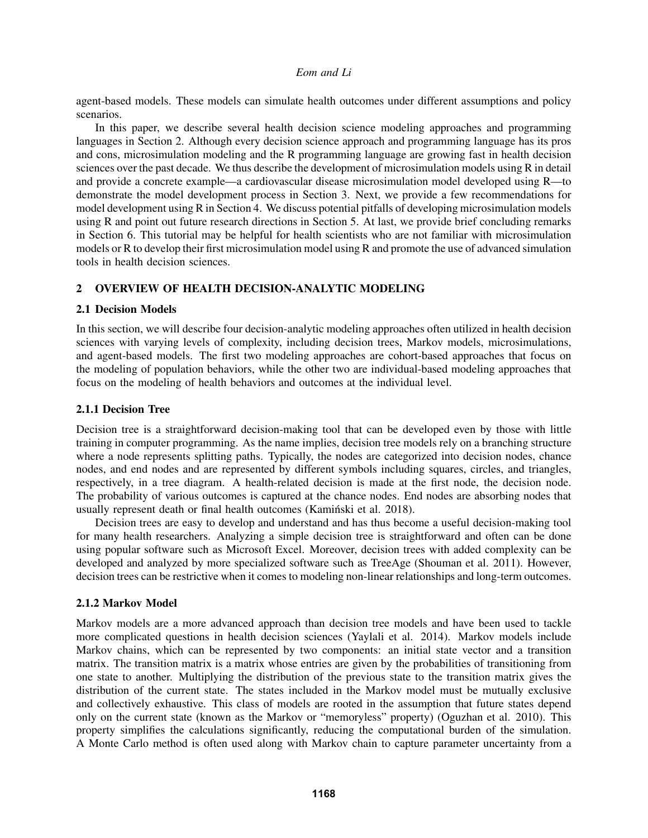agent-based models. These models can simulate health outcomes under different assumptions and policy scenarios.

In this paper, we describe several health decision science modeling approaches and programming languages in Section 2. Although every decision science approach and programming language has its pros and cons, microsimulation modeling and the R programming language are growing fast in health decision sciences over the past decade. We thus describe the development of microsimulation models using R in detail and provide a concrete example—a cardiovascular disease microsimulation model developed using R—to demonstrate the model development process in Section 3. Next, we provide a few recommendations for model development using R in Section 4. We discuss potential pitfalls of developing microsimulation models using R and point out future research directions in Section 5. At last, we provide brief concluding remarks in Section 6. This tutorial may be helpful for health scientists who are not familiar with microsimulation models or R to develop their first microsimulation model using R and promote the use of advanced simulation tools in health decision sciences.

# 2 OVERVIEW OF HEALTH DECISION-ANALYTIC MODELING

# 2.1 Decision Models

In this section, we will describe four decision-analytic modeling approaches often utilized in health decision sciences with varying levels of complexity, including decision trees, Markov models, microsimulations, and agent-based models. The first two modeling approaches are cohort-based approaches that focus on the modeling of population behaviors, while the other two are individual-based modeling approaches that focus on the modeling of health behaviors and outcomes at the individual level.

# 2.1.1 Decision Tree

Decision tree is a straightforward decision-making tool that can be developed even by those with little training in computer programming. As the name implies, decision tree models rely on a branching structure where a node represents splitting paths. Typically, the nodes are categorized into decision nodes, chance nodes, and end nodes and are represented by different symbols including squares, circles, and triangles, respectively, in a tree diagram. A health-related decision is made at the first node, the decision node. The probability of various outcomes is captured at the chance nodes. End nodes are absorbing nodes that usually represent death or final health outcomes [\(Kaminski et al. 2018](#page-10-1)).

Decision trees are easy to develop and understand and has thus become a useful decision-making tool for many health researchers. Analyzing a simple decision tree is straightforward and often can be done using popular software such as Microsoft Excel. Moreover, decision trees with added complexity can be developed and analyzed by more specialized software such as TreeAge [\(Shouman et al. 2011\)](#page-10-2). However, decision trees can be restrictive when it comes to modeling non-linear relationships and long-term outcomes.

# 2.1.2 Markov Model

Markov models are a more advanced approach than decision tree models and have been used to tackle more complicated questions in health decision sciences [\(Yaylali et al. 2014\)](#page-10-3). Markov models include Markov chains, which can be represented by two components: an initial state vector and a transition matrix. The transition matrix is a matrix whose entries are given by the probabilities of transitioning from one state to another. Multiplying the distribution of the previous state to the transition matrix gives the distribution of the current state. The states included in the Markov model must be mutually exclusive and collectively exhaustive. This class of models are rooted in the assumption that future states depend only on the current state (known as the Markov or "memoryless" property) [\(Oguzhan et al. 2010\)](#page-10-4). This property simplifies the calculations significantly, reducing the computational burden of the simulation. A Monte Carlo method is often used along with Markov chain to capture parameter uncertainty from a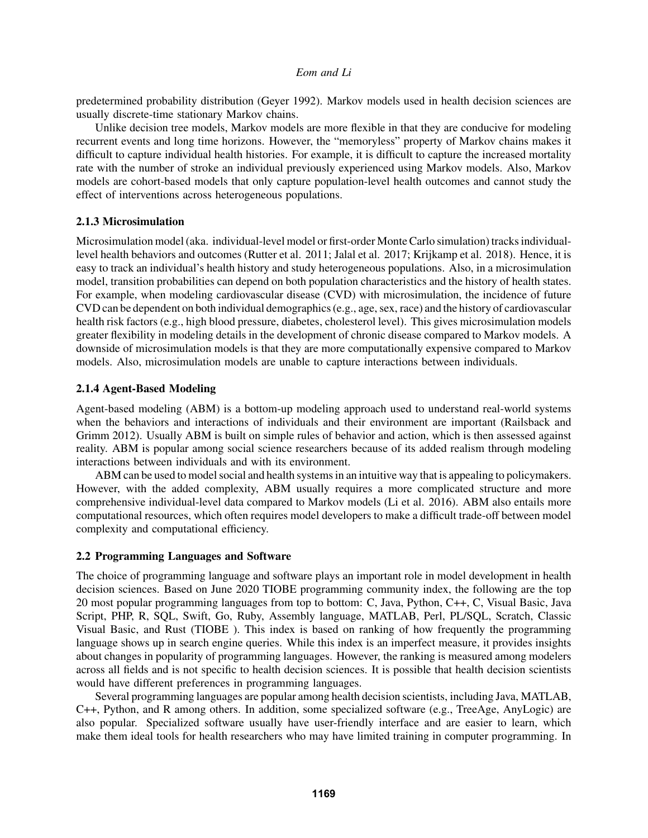predetermined probability distribution [\(Geyer 1992\)](#page-9-0). Markov models used in health decision sciences are usually discrete-time stationary Markov chains.

Unlike decision tree models, Markov models are more flexible in that they are conducive for modeling recurrent events and long time horizons. However, the "memoryless" property of Markov chains makes it difficult to capture individual health histories. For example, it is difficult to capture the increased mortality rate with the number of stroke an individual previously experienced using Markov models. Also, Markov models are cohort-based models that only capture population-level health outcomes and cannot study the effect of interventions across heterogeneous populations.

# 2.1.3 Microsimulation

Microsimulation model (aka. individual-level model or first-order Monte Carlo simulation) tracks individuallevel health behaviors and outcomes [\(Rutter et al. 2011;](#page-10-5) [Jalal et al. 2017;](#page-10-6) [Krijkamp et al. 2018\)](#page-10-7). Hence, it is easy to track an individual's health history and study heterogeneous populations. Also, in a microsimulation model, transition probabilities can depend on both population characteristics and the history of health states. For example, when modeling cardiovascular disease (CVD) with microsimulation, the incidence of future CVD can be dependent on both individual demographics (e.g., age, sex, race) and the history of cardiovascular health risk factors (e.g., high blood pressure, diabetes, cholesterol level). This gives microsimulation models greater flexibility in modeling details in the development of chronic disease compared to Markov models. A downside of microsimulation models is that they are more computationally expensive compared to Markov models. Also, microsimulation models are unable to capture interactions between individuals.

# 2.1.4 Agent-Based Modeling

Agent-based modeling (ABM) is a bottom-up modeling approach used to understand real-world systems when the behaviors and interactions of individuals and their environment are important [\(Railsback and](#page-10-8) [Grimm 2012\)](#page-10-8). Usually ABM is built on simple rules of behavior and action, which is then assessed against reality. ABM is popular among social science researchers because of its added realism through modeling interactions between individuals and with its environment.

ABM can be used to model social and health systems in an intuitive way that is appealing to policymakers. However, with the added complexity, ABM usually requires a more complicated structure and more comprehensive individual-level data compared to Markov models [\(Li et al. 2016\)](#page-10-9). ABM also entails more computational resources, which often requires model developers to make a difficult trade-off between model complexity and computational efficiency.

# 2.2 Programming Languages and Software

The choice of programming language and software plays an important role in model development in health decision sciences. Based on June 2020 TIOBE programming community index, the following are the top 20 most popular programming languages from top to bottom: C, Java, Python, C++, C, Visual Basic, Java Script, PHP, R, SQL, Swift, Go, Ruby, Assembly language, MATLAB, Perl, PL/SQL, Scratch, Classic Visual Basic, and Rust [\(TIOBE](#page-10-10) ). This index is based on ranking of how frequently the programming language shows up in search engine queries. While this index is an imperfect measure, it provides insights about changes in popularity of programming languages. However, the ranking is measured among modelers across all fields and is not specific to health decision sciences. It is possible that health decision scientists would have different preferences in programming languages.

Several programming languages are popular among health decision scientists, including Java, MATLAB, C++, Python, and R among others. In addition, some specialized software (e.g., TreeAge, AnyLogic) are also popular. Specialized software usually have user-friendly interface and are easier to learn, which make them ideal tools for health researchers who may have limited training in computer programming. In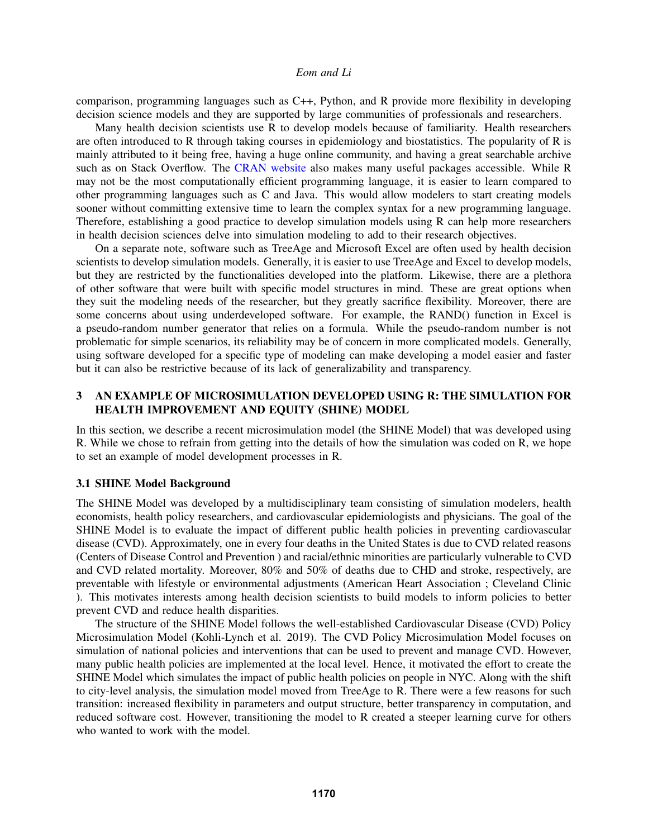comparison, programming languages such as C++, Python, and R provide more flexibility in developing decision science models and they are supported by large communities of professionals and researchers.

Many health decision scientists use R to develop models because of familiarity. Health researchers are often introduced to R through taking courses in epidemiology and biostatistics. The popularity of R is mainly attributed to it being free, having a huge online community, and having a great searchable archive such as on Stack Overflow. The [CRAN website](https://cran.r-project.org/) also makes many useful packages accessible. While R may not be the most computationally efficient programming language, it is easier to learn compared to other programming languages such as C and Java. This would allow modelers to start creating models sooner without committing extensive time to learn the complex syntax for a new programming language. Therefore, establishing a good practice to develop simulation models using R can help more researchers in health decision sciences delve into simulation modeling to add to their research objectives.

On a separate note, software such as TreeAge and Microsoft Excel are often used by health decision scientists to develop simulation models. Generally, it is easier to use TreeAge and Excel to develop models, but they are restricted by the functionalities developed into the platform. Likewise, there are a plethora of other software that were built with specific model structures in mind. These are great options when they suit the modeling needs of the researcher, but they greatly sacrifice flexibility. Moreover, there are some concerns about using underdeveloped software. For example, the RAND() function in Excel is a pseudo-random number generator that relies on a formula. While the pseudo-random number is not problematic for simple scenarios, its reliability may be of concern in more complicated models. Generally, using software developed for a specific type of modeling can make developing a model easier and faster but it can also be restrictive because of its lack of generalizability and transparency.

# 3 AN EXAMPLE OF MICROSIMULATION DEVELOPED USING R: THE SIMULATION FOR HEALTH IMPROVEMENT AND EQUITY (SHINE) MODEL

In this section, we describe a recent microsimulation model (the SHINE Model) that was developed using R. While we chose to refrain from getting into the details of how the simulation was coded on R, we hope to set an example of model development processes in R.

## 3.1 SHINE Model Background

The SHINE Model was developed by a multidisciplinary team consisting of simulation modelers, health economists, health policy researchers, and cardiovascular epidemiologists and physicians. The goal of the SHINE Model is to evaluate the impact of different public health policies in preventing cardiovascular disease (CVD). Approximately, one in every four deaths in the United States is due to CVD related reasons [\(Centers of Disease Control and Prevention](#page-9-1) ) and racial/ethnic minorities are particularly vulnerable to CVD and CVD related mortality. Moreover, 80% and 50% of deaths due to CHD and stroke, respectively, are preventable with lifestyle or environmental adjustments [\(American Heart Association](#page-9-2) ; [Cleveland Clinic](#page-9-3) [\)](#page-9-3). This motivates interests among health decision scientists to build models to inform policies to better prevent CVD and reduce health disparities.

The structure of the SHINE Model follows the well-established Cardiovascular Disease (CVD) Policy Microsimulation Model [\(Kohli-Lynch et al. 2019\)](#page-10-11). The CVD Policy Microsimulation Model focuses on simulation of national policies and interventions that can be used to prevent and manage CVD. However, many public health policies are implemented at the local level. Hence, it motivated the effort to create the SHINE Model which simulates the impact of public health policies on people in NYC. Along with the shift to city-level analysis, the simulation model moved from TreeAge to R. There were a few reasons for such transition: increased flexibility in parameters and output structure, better transparency in computation, and reduced software cost. However, transitioning the model to R created a steeper learning curve for others who wanted to work with the model.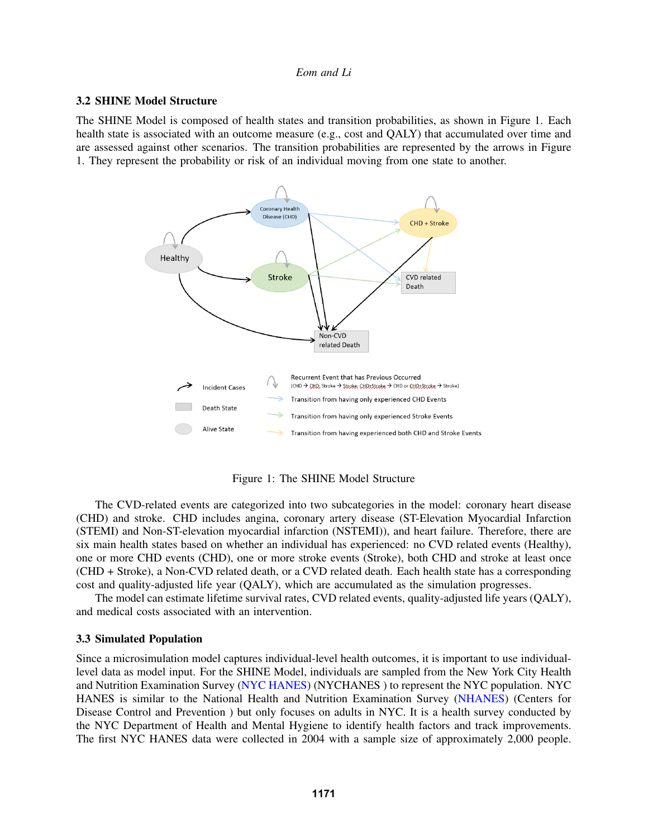#### 3.2 SHINE Model Structure

The SHINE Model is composed of health states and transition probabilities, as shown in Figure [1.](#page-4-0) Each health state is associated with an outcome measure (e.g., cost and QALY) that accumulated over time and are assessed against other scenarios. The transition probabilities are represented by the arrows in Figure [1.](#page-4-0) They represent the probability or risk of an individual moving from one state to another.



<span id="page-4-0"></span>Figure 1: The SHINE Model Structure

The CVD-related events are categorized into two subcategories in the model: coronary heart disease (CHD) and stroke. CHD includes angina, coronary artery disease (ST-Elevation Myocardial Infarction (STEMI) and Non-ST-elevation myocardial infarction (NSTEMI)), and heart failure. Therefore, there are six main health states based on whether an individual has experienced: no CVD related events (Healthy), one or more CHD events (CHD), one or more stroke events (Stroke), both CHD and stroke at least once (CHD + Stroke), a Non-CVD related death, or a CVD related death. Each health state has a corresponding cost and quality-adjusted life year (QALY), which are accumulated as the simulation progresses.

The model can estimate lifetime survival rates, CVD related events, quality-adjusted life years (QALY), and medical costs associated with an intervention.

#### 3.3 Simulated Population

Since a microsimulation model captures individual-level health outcomes, it is important to use individuallevel data as model input. For the SHINE Model, individuals are sampled from the New York City Health and Nutrition Examination Survey [\(NYC HANES\)](http://nychanes.org/) [\(NYCHANES](#page-10-12) ) to represent the NYC population. NYC HANES is similar to the National Health and Nutrition Examination Survey [\(NHANES\)](https://www.cdc.gov/nchs/nhanes/index.htm) [\(Centers for](#page-9-4) [Disease Control and Prevention](#page-9-4) ) but only focuses on adults in NYC. It is a health survey conducted by the NYC Department of Health and Mental Hygiene to identify health factors and track improvements. The first NYC HANES data were collected in 2004 with a sample size of approximately 2,000 people.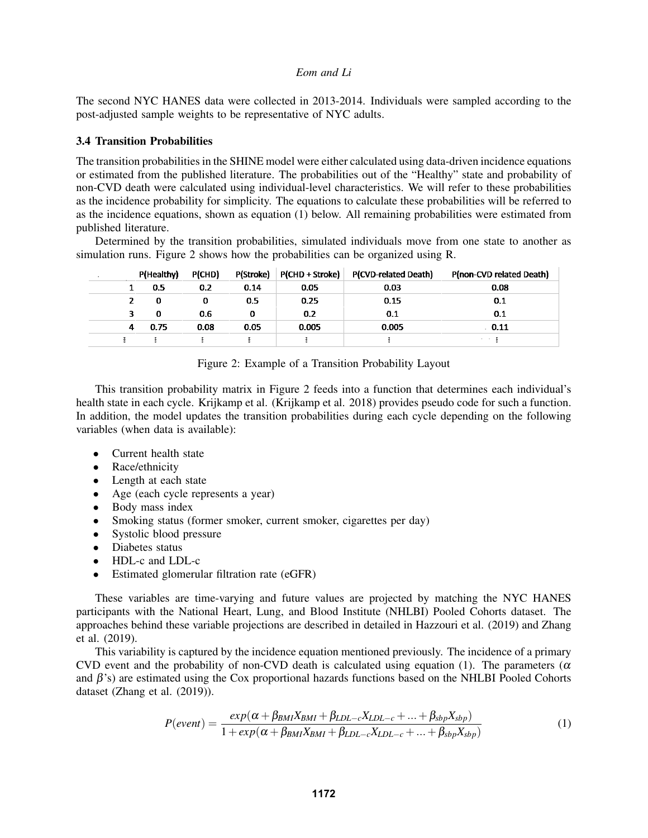The second NYC HANES data were collected in 2013-2014. Individuals were sampled according to the post-adjusted sample weights to be representative of NYC adults.

#### 3.4 Transition Probabilities

The transition probabilities in the SHINE model were either calculated using data-driven incidence equations or estimated from the published literature. The probabilities out of the "Healthy" state and probability of non-CVD death were calculated using individual-level characteristics. We will refer to these probabilities as the incidence probability for simplicity. The equations to calculate these probabilities will be referred to as the incidence equations, shown as equation [\(1\)](#page-5-0) below. All remaining probabilities were estimated from published literature.

Determined by the transition probabilities, simulated individuals move from one state to another as simulation runs. Figure [2](#page-5-1) shows how the probabilities can be organized using R.

|                         | P(Healthy) | P(CHD) | P(Stroke) | P(CHD + Stroke) | P(CVD-related Death) | P(non-CVD related Death) |
|-------------------------|------------|--------|-----------|-----------------|----------------------|--------------------------|
|                         | 0.5        | 0.2    | 0.14      | 0.05            | 0.03                 | 0.08                     |
|                         | 0          | 0      | 0.5       | 0.25            | 0.15                 | 0.1                      |
| $\overline{\mathbf{3}}$ | 0          | 0.6    | 0         | 0.2             | 0.1                  | 0.1                      |
| 4                       | 0.75       | 0.08   | 0.05      | 0.005           | 0.005                | 0.11                     |
|                         |            |        |           |                 |                      | 30 H Z                   |

<span id="page-5-1"></span>Figure 2: Example of a Transition Probability Layout

This transition probability matrix in Figure [2](#page-5-1) feeds into a function that determines each individual's health state in each cycle. Krijkamp et al. [\(Krijkamp et al. 2018\)](#page-10-7) provides pseudo code for such a function. In addition, the model updates the transition probabilities during each cycle depending on the following variables (when data is available):

- Current health state
- Race/ethnicity
- Length at each state
- Age (each cycle represents a year)
- Body mass index
- Smoking status (former smoker, current smoker, cigarettes per day)
- Systolic blood pressure
- Diabetes status
- HDL-c and LDL-c
- Estimated glomerular filtration rate (eGFR)

These variables are time-varying and future values are projected by matching the NYC HANES participants with the National Heart, Lung, and Blood Institute (NHLBI) Pooled Cohorts dataset. The approaches behind these variable projections are described in detailed in [Hazzouri et al. \(2019\)](#page-10-13) and [Zhang](#page-10-14) [et al. \(2019\).](#page-10-14)

This variability is captured by the incidence equation mentioned previously. The incidence of a primary CVD event and the probability of non-CVD death is calculated using equation [\(1\)](#page-5-0). The parameters ( $\alpha$ and  $\beta$ 's) are estimated using the Cox proportional hazards functions based on the NHLBI Pooled Cohorts dataset [\(Zhang et al. \(2019\)\)](#page-10-14).

<span id="page-5-0"></span>
$$
P(event) = \frac{exp(\alpha + \beta_{BMI}X_{BMI} + \beta_{LDL-c}X_{LDL-c} + ... + \beta_{sbp}X_{sbp})}{1 + exp(\alpha + \beta_{BMI}X_{BMI} + \beta_{LDL-c}X_{LDL-c} + ... + \beta_{sbp}X_{sbp})}
$$
(1)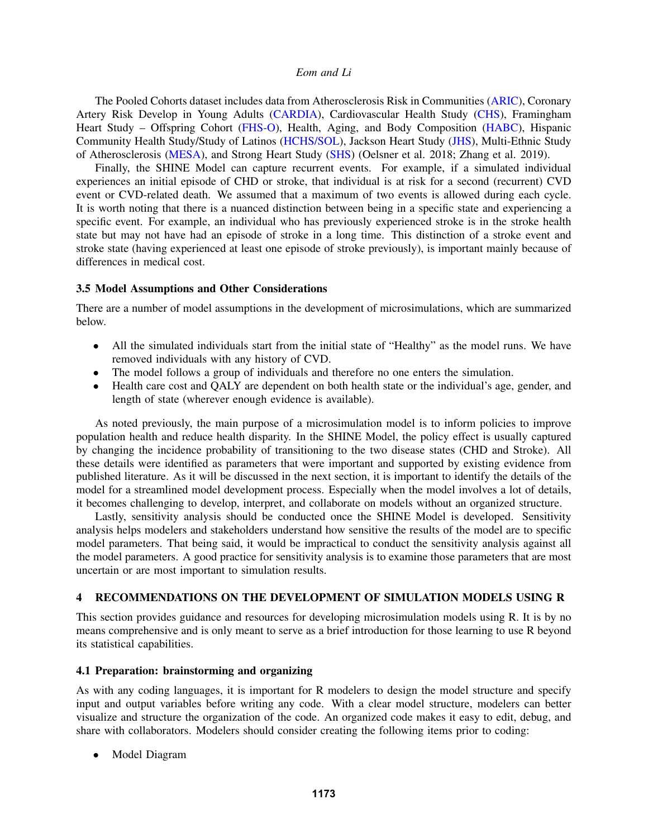The Pooled Cohorts dataset includes data from Atherosclerosis Risk in Communities [\(ARIC\)](https://sites.cscc.unc.edu/aric/desc_pub), Coronary Artery Risk Develop in Young Adults [\(CARDIA\)](https://www.cardia.dopm.uab.edu/), Cardiovascular Health Study [\(CHS\)](https://chs-nhlbi.org/), Framingham Heart Study – Offspring Cohort [\(FHS-O\)](https://framinghamheartstudy.org/about-the-fhs-participants/offspring-cohort/), Health, Aging, and Body Composition [\(HABC\)](https://healthabc.nia.nih.gov/), Hispanic Community Health Study/Study of Latinos [\(HCHS/SOL\)](https://sites.cscc.unc.edu/hchs/), Jackson Heart Study [\(JHS\)](https://www.jacksonheartstudy.org/), Multi-Ethnic Study of Atherosclerosis [\(MESA\)](https://www.mesa-nhlbi.org/), and Strong Heart Study [\(SHS\)](https://strongheartstudy.org/) [\(Oelsner et al. 2018;](#page-10-15) [Zhang et al. 2019\)](#page-10-14).

Finally, the SHINE Model can capture recurrent events. For example, if a simulated individual experiences an initial episode of CHD or stroke, that individual is at risk for a second (recurrent) CVD event or CVD-related death. We assumed that a maximum of two events is allowed during each cycle. It is worth noting that there is a nuanced distinction between being in a specific state and experiencing a specific event. For example, an individual who has previously experienced stroke is in the stroke health state but may not have had an episode of stroke in a long time. This distinction of a stroke event and stroke state (having experienced at least one episode of stroke previously), is important mainly because of differences in medical cost.

## 3.5 Model Assumptions and Other Considerations

There are a number of model assumptions in the development of microsimulations, which are summarized below.

- All the simulated individuals start from the initial state of "Healthy" as the model runs. We have removed individuals with any history of CVD.
- The model follows a group of individuals and therefore no one enters the simulation.
- Health care cost and QALY are dependent on both health state or the individual's age, gender, and length of state (wherever enough evidence is available).

As noted previously, the main purpose of a microsimulation model is to inform policies to improve population health and reduce health disparity. In the SHINE Model, the policy effect is usually captured by changing the incidence probability of transitioning to the two disease states (CHD and Stroke). All these details were identified as parameters that were important and supported by existing evidence from published literature. As it will be discussed in the next section, it is important to identify the details of the model for a streamlined model development process. Especially when the model involves a lot of details, it becomes challenging to develop, interpret, and collaborate on models without an organized structure.

Lastly, sensitivity analysis should be conducted once the SHINE Model is developed. Sensitivity analysis helps modelers and stakeholders understand how sensitive the results of the model are to specific model parameters. That being said, it would be impractical to conduct the sensitivity analysis against all the model parameters. A good practice for sensitivity analysis is to examine those parameters that are most uncertain or are most important to simulation results.

## 4 RECOMMENDATIONS ON THE DEVELOPMENT OF SIMULATION MODELS USING R

This section provides guidance and resources for developing microsimulation models using R. It is by no means comprehensive and is only meant to serve as a brief introduction for those learning to use R beyond its statistical capabilities.

## 4.1 Preparation: brainstorming and organizing

As with any coding languages, it is important for R modelers to design the model structure and specify input and output variables before writing any code. With a clear model structure, modelers can better visualize and structure the organization of the code. An organized code makes it easy to edit, debug, and share with collaborators. Modelers should consider creating the following items prior to coding:

• Model Diagram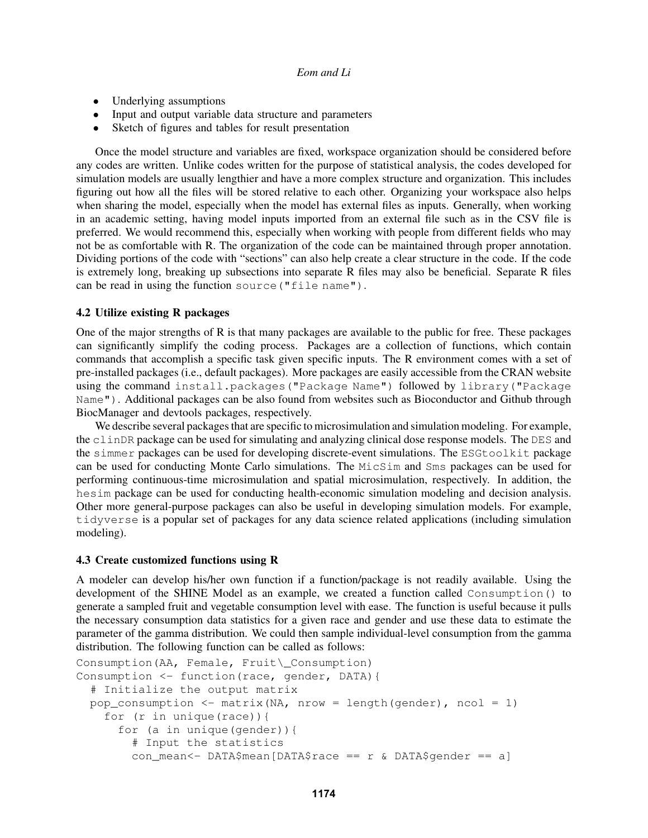- Underlying assumptions
- Input and output variable data structure and parameters
- Sketch of figures and tables for result presentation

Once the model structure and variables are fixed, workspace organization should be considered before any codes are written. Unlike codes written for the purpose of statistical analysis, the codes developed for simulation models are usually lengthier and have a more complex structure and organization. This includes figuring out how all the files will be stored relative to each other. Organizing your workspace also helps when sharing the model, especially when the model has external files as inputs. Generally, when working in an academic setting, having model inputs imported from an external file such as in the CSV file is preferred. We would recommend this, especially when working with people from different fields who may not be as comfortable with R. The organization of the code can be maintained through proper annotation. Dividing portions of the code with "sections" can also help create a clear structure in the code. If the code is extremely long, breaking up subsections into separate R files may also be beneficial. Separate R files can be read in using the function source("file name").

## 4.2 Utilize existing R packages

One of the major strengths of R is that many packages are available to the public for free. These packages can significantly simplify the coding process. Packages are a collection of functions, which contain commands that accomplish a specific task given specific inputs. The R environment comes with a set of pre-installed packages (i.e., default packages). More packages are easily accessible from the CRAN website using the command install.packages("Package Name") followed by library("Package Name"). Additional packages can be also found from websites such as Bioconductor and Github through BiocManager and devtools packages, respectively.

We describe several packages that are specific to microsimulation and simulation modeling. For example, the clinDR package can be used for simulating and analyzing clinical dose response models. The DES and the simmer packages can be used for developing discrete-event simulations. The ESGtoolkit package can be used for conducting Monte Carlo simulations. The MicSim and Sms packages can be used for performing continuous-time microsimulation and spatial microsimulation, respectively. In addition, the hesim package can be used for conducting health-economic simulation modeling and decision analysis. Other more general-purpose packages can also be useful in developing simulation models. For example, tidyverse is a popular set of packages for any data science related applications (including simulation modeling).

#### 4.3 Create customized functions using R

A modeler can develop his/her own function if a function/package is not readily available. Using the development of the SHINE Model as an example, we created a function called Consumption() to generate a sampled fruit and vegetable consumption level with ease. The function is useful because it pulls the necessary consumption data statistics for a given race and gender and use these data to estimate the parameter of the gamma distribution. We could then sample individual-level consumption from the gamma distribution. The following function can be called as follows:

```
Consumption(AA, Female, Fruit\_Consumption)
Consumption <- function(race, gender, DATA){
  # Initialize the output matrix
 pop_consumption <- matrix(NA, nrow = length(gender), ncol = 1)
    for (r in unique(race)){
      for (a in unique(gender)){
        # Input the statistics
        con_mean<- DATA$mean[DATA$race == r & DATA$qender == a]
```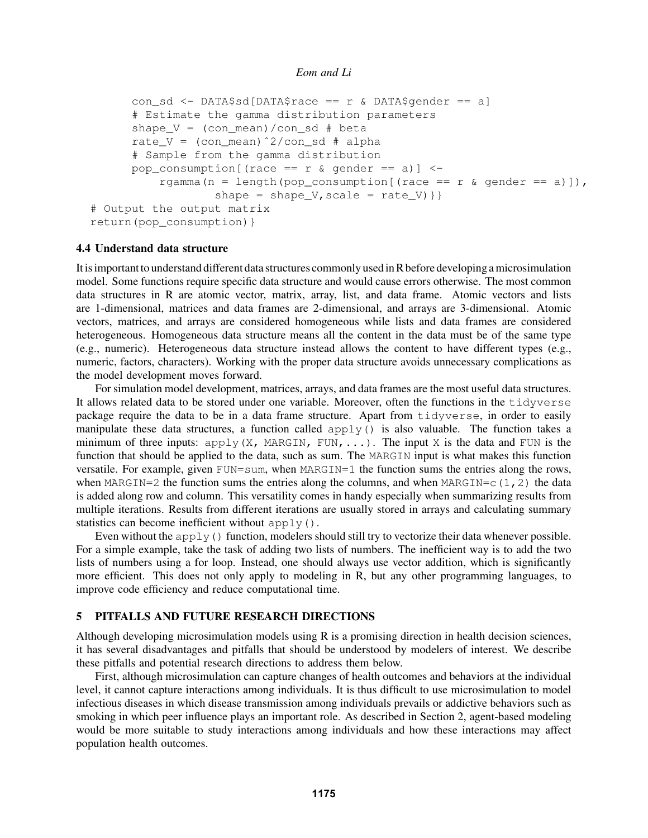```
con sd <- DATA$sd[DATA$race == r & DATA$gender == a]
      # Estimate the gamma distribution parameters
      shape V = (con mean)/con sd # beta
      rate_V = (\text{con_mean}) 2/\text{con\_sd} # alpha
      # Sample from the gamma distribution
      pop_consumption[(race == r & gender == a)] <-
          rgamma(n = length(pop consumption[(race == r & gender == a)]),
                   shape = shape V, scale = rate V) } }
# Output the output matrix
return(pop_consumption)}
```
## 4.4 Understand data structure

It is important to understand different data structures commonly used in R before developing a microsimulation model. Some functions require specific data structure and would cause errors otherwise. The most common data structures in R are atomic vector, matrix, array, list, and data frame. Atomic vectors and lists are 1-dimensional, matrices and data frames are 2-dimensional, and arrays are 3-dimensional. Atomic vectors, matrices, and arrays are considered homogeneous while lists and data frames are considered heterogeneous. Homogeneous data structure means all the content in the data must be of the same type (e.g., numeric). Heterogeneous data structure instead allows the content to have different types (e.g., numeric, factors, characters). Working with the proper data structure avoids unnecessary complications as the model development moves forward.

For simulation model development, matrices, arrays, and data frames are the most useful data structures. It allows related data to be stored under one variable. Moreover, often the functions in the tidyverse package require the data to be in a data frame structure. Apart from tidyverse, in order to easily manipulate these data structures, a function called  $apply()$  is also valuable. The function takes a minimum of three inputs:  $\alpha$ pply(X, MARGIN, FUN, ...). The input X is the data and FUN is the function that should be applied to the data, such as sum. The MARGIN input is what makes this function versatile. For example, given FUN=sum, when MARGIN=1 the function sums the entries along the rows, when MARGIN=2 the function sums the entries along the columns, and when MARGIN=c(1,2) the data is added along row and column. This versatility comes in handy especially when summarizing results from multiple iterations. Results from different iterations are usually stored in arrays and calculating summary statistics can become inefficient without apply().

Even without the  $apply()$  function, modelers should still try to vectorize their data whenever possible. For a simple example, take the task of adding two lists of numbers. The inefficient way is to add the two lists of numbers using a for loop. Instead, one should always use vector addition, which is significantly more efficient. This does not only apply to modeling in R, but any other programming languages, to improve code efficiency and reduce computational time.

# 5 PITFALLS AND FUTURE RESEARCH DIRECTIONS

Although developing microsimulation models using  $R$  is a promising direction in health decision sciences, it has several disadvantages and pitfalls that should be understood by modelers of interest. We describe these pitfalls and potential research directions to address them below.

First, although microsimulation can capture changes of health outcomes and behaviors at the individual level, it cannot capture interactions among individuals. It is thus difficult to use microsimulation to model infectious diseases in which disease transmission among individuals prevails or addictive behaviors such as smoking in which peer influence plays an important role. As described in Section 2, agent-based modeling would be more suitable to study interactions among individuals and how these interactions may affect population health outcomes.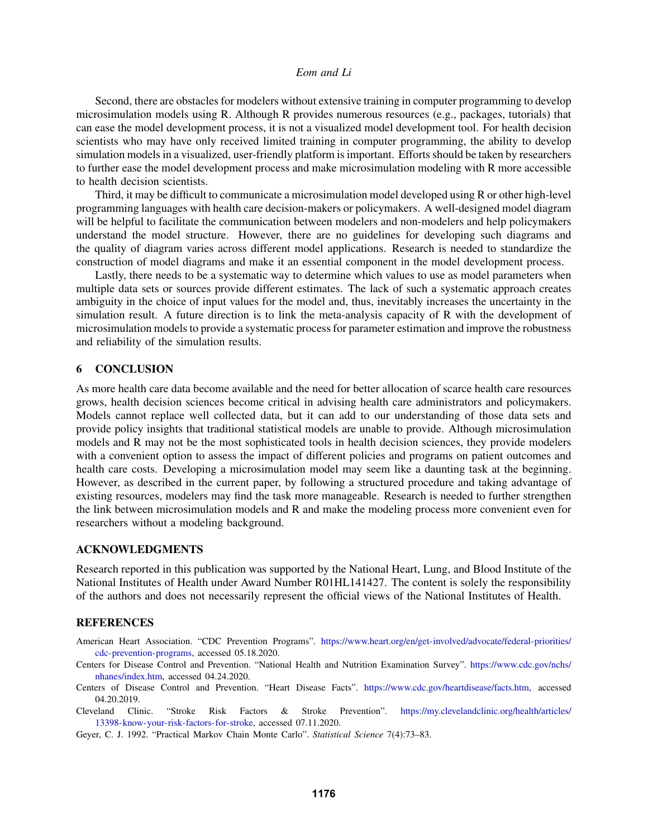Second, there are obstacles for modelers without extensive training in computer programming to develop microsimulation models using R. Although R provides numerous resources (e.g., packages, tutorials) that can ease the model development process, it is not a visualized model development tool. For health decision scientists who may have only received limited training in computer programming, the ability to develop simulation models in a visualized, user-friendly platform is important. Efforts should be taken by researchers to further ease the model development process and make microsimulation modeling with R more accessible to health decision scientists.

Third, it may be difficult to communicate a microsimulation model developed using R or other high-level programming languages with health care decision-makers or policymakers. A well-designed model diagram will be helpful to facilitate the communication between modelers and non-modelers and help policymakers understand the model structure. However, there are no guidelines for developing such diagrams and the quality of diagram varies across different model applications. Research is needed to standardize the construction of model diagrams and make it an essential component in the model development process.

Lastly, there needs to be a systematic way to determine which values to use as model parameters when multiple data sets or sources provide different estimates. The lack of such a systematic approach creates ambiguity in the choice of input values for the model and, thus, inevitably increases the uncertainty in the simulation result. A future direction is to link the meta-analysis capacity of R with the development of microsimulation models to provide a systematic process for parameter estimation and improve the robustness and reliability of the simulation results.

## 6 CONCLUSION

As more health care data become available and the need for better allocation of scarce health care resources grows, health decision sciences become critical in advising health care administrators and policymakers. Models cannot replace well collected data, but it can add to our understanding of those data sets and provide policy insights that traditional statistical models are unable to provide. Although microsimulation models and R may not be the most sophisticated tools in health decision sciences, they provide modelers with a convenient option to assess the impact of different policies and programs on patient outcomes and health care costs. Developing a microsimulation model may seem like a daunting task at the beginning. However, as described in the current paper, by following a structured procedure and taking advantage of existing resources, modelers may find the task more manageable. Research is needed to further strengthen the link between microsimulation models and R and make the modeling process more convenient even for researchers without a modeling background.

#### ACKNOWLEDGMENTS

Research reported in this publication was supported by the National Heart, Lung, and Blood Institute of the National Institutes of Health under Award Number R01HL141427. The content is solely the responsibility of the authors and does not necessarily represent the official views of the National Institutes of Health.

#### **REFERENCES**

- <span id="page-9-2"></span>American Heart Association. "CDC Prevention Programs". [https://www.heart.org/en/get-involved/advocate/federal-priorities/](https://www.heart.org/en/get-involved/advocate/federal-priorities/cdc-prevention-programs) [cdc-prevention-programs,](https://www.heart.org/en/get-involved/advocate/federal-priorities/cdc-prevention-programs) accessed 05.18.2020.
- <span id="page-9-4"></span>Centers for Disease Control and Prevention. "National Health and Nutrition Examination Survey". [https://www.cdc.gov/nchs/](https://www.cdc.gov/nchs/nhanes/index.htm) [nhanes/index.htm,](https://www.cdc.gov/nchs/nhanes/index.htm) accessed 04.24.2020.
- <span id="page-9-1"></span>Centers of Disease Control and Prevention. "Heart Disease Facts". [https://www.cdc.gov/heartdisease/facts.htm,](https://www.cdc.gov/heartdisease/facts.htm) accessed 04.20.2019.
- <span id="page-9-3"></span>Cleveland Clinic. "Stroke Risk Factors & Stroke Prevention". [https://my.clevelandclinic.org/health/articles/](https://my.clevelandclinic.org/health/articles/13398-know-your-risk-factors-for-stroke) [13398-know-your-risk-factors-for-stroke,](https://my.clevelandclinic.org/health/articles/13398-know-your-risk-factors-for-stroke) accessed 07.11.2020.
- <span id="page-9-0"></span>Geyer, C. J. 1992. "Practical Markov Chain Monte Carlo". *Statistical Science* 7(4):73–83.